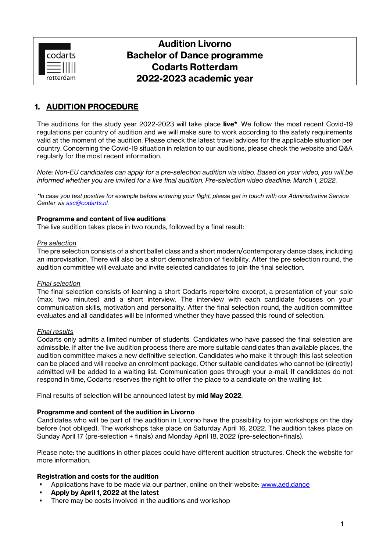

# **Audition Livorno Bachelor of Dance programme Codarts Rotterdam 2022-2023 academic year**

## **1. AUDITION PROCEDURE**

The auditions for the study year 2022-2023 will take place **live\***. We follow the most recent Covid-19 regulations per country of audition and we will make sure to work according to the safety requirements valid at the moment of the audition. Please check the latest travel advices for the applicable situation per country. Concerning the Covid-19 situation in relation to our auditions, please check the website and Q&A regularly for the most recent information.

*Note: Non-EU candidates can apply for a pre-selection audition via video. Based on your video, you will be informed whether you are invited for a live final audition. Pre-selection video deadline: March 1, 2022*.

*\*In case you test positive for example before entering your flight, please get in touch with our Administrative Service Center via [asc@codarts.nl.](mailto:asc@codarts.nl)*

#### **Programme and content of live auditions**

The live audition takes place in two rounds, followed by a final result:

#### *Pre selection*

The pre selection consists of a short ballet class and a short modern/contemporary dance class, including an improvisation. There will also be a short demonstration of flexibility. After the pre selection round, the audition committee will evaluate and invite selected candidates to join the final selection.

#### *Final selection*

The final selection consists of learning a short Codarts repertoire excerpt, a presentation of your solo (max. two minutes) and a short interview. The interview with each candidate focuses on your communication skills, motivation and personality. After the final selection round, the audition committee evaluates and all candidates will be informed whether they have passed this round of selection.

#### *Final results*

Codarts only admits a limited number of students. Candidates who have passed the final selection are admissible. If after the live audition process there are more suitable candidates than available places, the audition committee makes a new definitive selection. Candidates who make it through this last selection can be placed and will receive an enrolment package. Other suitable candidates who cannot be (directly) admitted will be added to a waiting list. Communication goes through your e-mail. If candidates do not respond in time, Codarts reserves the right to offer the place to a candidate on the waiting list.

Final results of selection will be announced latest by **mid May 2022**.

#### **Programme and content of the audition in Livorno**

Candidates who will be part of the audition in Livorno have the possibility to join workshops on the day before (not obliged). The workshops take place on Saturday April 16, 2022. The audition takes place on Sunday April 17 (pre-selection + finals) and Monday April 18, 2022 (pre-selection+finals).

Please note: the auditions in other places could have different audition structures. Check the website for more information.

#### **Registration and costs for the audition**

- Applications have to be made via our partner, online on their website: [www.aed.dance](http://www.aed.dance/)
- **Apply by April 1, 2022 at the latest**
- **•** There may be costs involved in the auditions and workshop